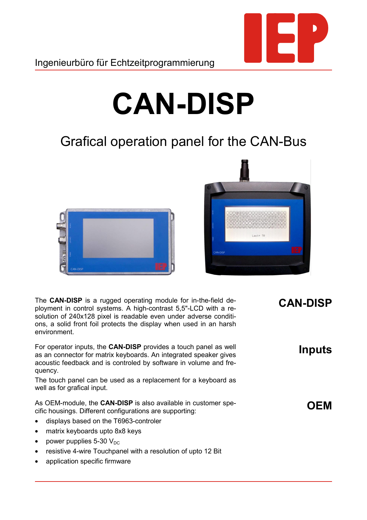

## **CAN-DISP**

## Grafical operation panel for the CAN-Bus





The **CAN-DISP** is a rugged operating module for in-the-field deployment in control systems. A high-contrast 5,5"-LCD with a resolution of 240x128 pixel is readable even under adverse conditions, a solid front foil protects the display when used in an harsh environment.

For operator inputs, the **CAN-DISP** provides a touch panel as well as an connector for matrix keyboards. An integrated speaker gives acoustic feedback and is controled by software in volume and frequency.

The touch panel can be used as a replacement for a keyboard as well as for grafical input.

As OEM-module, the **CAN-DISP** is also available in customer specific housings. Different configurations are supporting:

- displays based on the T6963-controler
- matrix keyboards upto 8x8 keys
- power pupplies 5-30  $V_{DC}$
- resistive 4-wire Touchpanel with a resolution of upto 12 Bit
- application specific firmware

## **CAN-DISP**

**Inputs**

## **OEM**